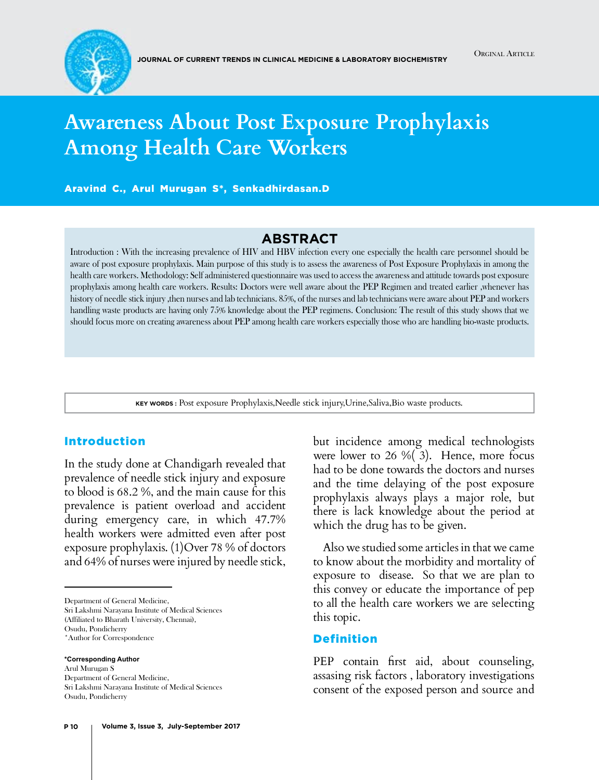

# **Awareness About Post Exposure Prophylaxis Among Health Care Workers**

Aravind C., Arul Murugan S\*, Senkadhirdasan.D

# **Abstract**

Introduction : With the increasing prevalence of HIV and HBV infection every one especially the health care personnel should be aware of post exposure prophylaxis. Main purpose of this study is to assess the awareness of Post Exposure Prophylaxis in among the health care workers. Methodology: Self administered questionnaire was used to access the awareness and attitude towards post exposure prophylaxis among health care workers. Results: Doctors were well aware about the PEP Regimen and treated earlier ,whenever has history of needle stick injury ,then nurses and lab technicians. 85%, of the nurses and lab technicians were aware about PEP and workers handling waste products are having only 75% knowledge about the PEP regimens. Conclusion: The result of this study shows that we should focus more on creating awareness about PEP among health care workers especially those who are handling bio-waste products.

**Key words :** Post exposure Prophylaxis,Needle stick injury,Urine,Saliva,Bio waste products.

#### Introduction

In the study done at Chandigarh revealed that prevalence of needle stick injury and exposure to blood is 68.2 %, and the main cause for this prevalence is patient overload and accident during emergency care, in which 47.7% health workers were admitted even after post exposure prophylaxis. (1)Over 78 % of doctors and 64% of nurses were injured by needle stick,

Sri Lakshmi Narayana Institute of Medical Sciences (Affiliated to Bharath University, Chennai),

Osudu, Pondicherry

**\*Corresponding Author** Arul Murugan S Department of General Medicine, Sri Lakshmi Narayana Institute of Medical Sciences Osudu, Pondicherry

but incidence among medical technologists were lower to 26 %( 3). Hence, more focus had to be done towards the doctors and nurses and the time delaying of the post exposure prophylaxis always plays a major role, but there is lack knowledge about the period at which the drug has to be given.

 Also we studied some articles in that we came to know about the morbidity and mortality of exposure to disease. So that we are plan to this convey or educate the importance of pep to all the health care workers we are selecting this topic.

#### Definition

PEP contain first aid, about counseling, assasing risk factors , laboratory investigations consent of the exposed person and source and

Department of General Medicine,

<sup>\*</sup>Author for Correspondence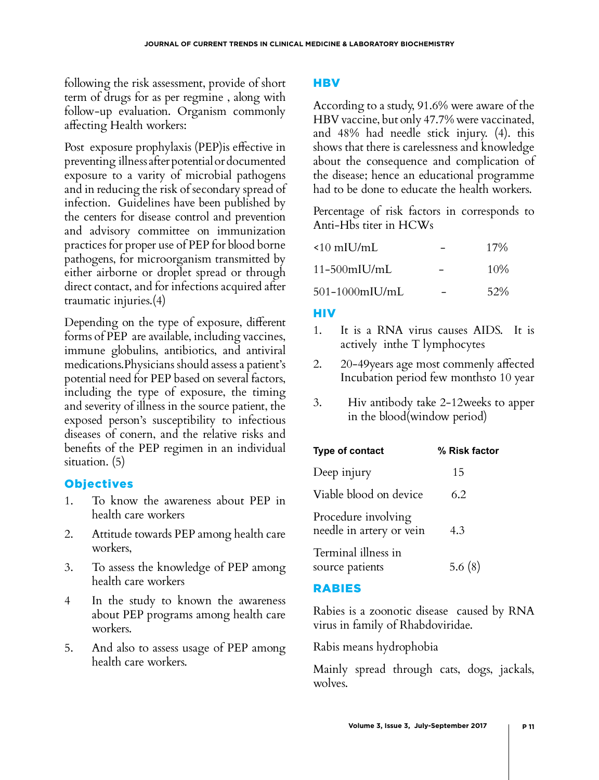following the risk assessment, provide of short term of drugs for as per regmine , along with follow-up evaluation. Organism commonly affecting Health workers:

Post exposure prophylaxis (PEP)is effective in preventing illness after potential or documented exposure to a varity of microbial pathogens and in reducing the risk of secondary spread of infection. Guidelines have been published by the centers for disease control and prevention and advisory committee on immunization practices for proper use of PEP for blood borne pathogens, for microorganism transmitted by either airborne or droplet spread or through direct contact, and for infections acquired after traumatic injuries.(4)

Depending on the type of exposure, different forms of PEP are available, including vaccines, immune globulins, antibiotics, and antiviral medications.Physicians should assess a patient's potential need for PEP based on several factors, including the type of exposure, the timing and severity of illness in the source patient, the exposed person's susceptibility to infectious diseases of conern, and the relative risks and benefits of the PEP regimen in an individual situation. (5)

# **Objectives**

- 1. To know the awareness about PEP in health care workers
- 2. Attitude towards PEP among health care workers,
- 3. To assess the knowledge of PEP among health care workers
- 4 In the study to known the awareness about PEP programs among health care workers.
- 5. And also to assess usage of PEP among health care workers.

# **HBV**

According to a study, 91.6% were aware of the HBV vaccine, but only 47.7% were vaccinated, and 48% had needle stick injury. (4). this shows that there is carelessness and knowledge about the consequence and complication of the disease; hence an educational programme had to be done to educate the health workers.

Percentage of risk factors in corresponds to Anti-Hbs titer in HCWs

| $\leq 10$ mIU/mL | $17\%$ |
|------------------|--------|
| $11-500$ mIU/mL  | $10\%$ |
| 501-1000mIU/mL   | 52%    |

## **HIV**

- 1. It is a RNA virus causes AIDS. It is actively inthe T lymphocytes
- 2. 20-49years age most commenly affected Incubation period few monthsto 10 year
- 3. Hiv antibody take 2-12weeks to apper in the blood(window period)

| Type of contact                                 | % Risk factor |
|-------------------------------------------------|---------------|
| Deep injury                                     | 15            |
| Viable blood on device                          | 6.2           |
| Procedure involving<br>needle in artery or vein | 4.3           |
| Terminal illness in<br>source patients          | 5.6 $(8)$     |

## RABIES

Rabies is a zoonotic disease caused by RNA virus in family of Rhabdoviridae.

Rabis means hydrophobia

Mainly spread through cats, dogs, jackals, wolves.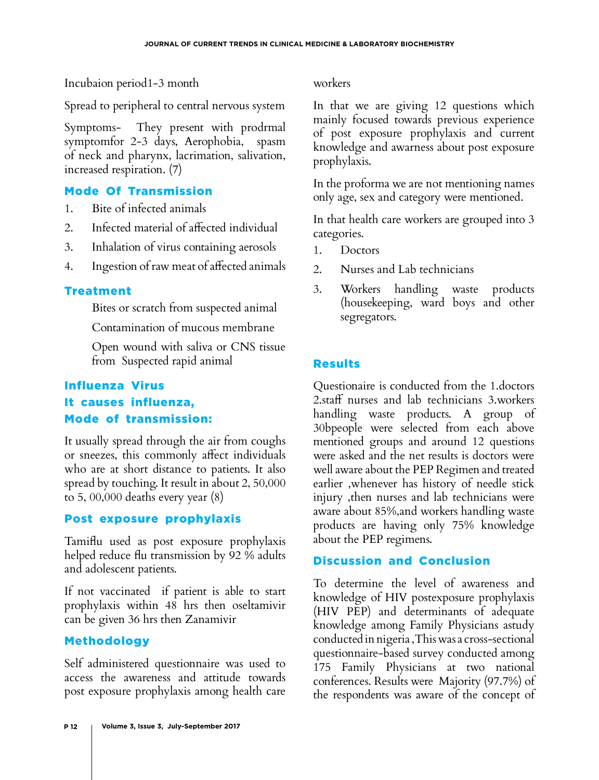Incubaion period1-3 month

Spread to peripheral to central nervous system

Symptoms- They present with prodrmal symptomfor 2-3 days, Aerophobia, spasm of neck and pharynx, lacrimation, salivation, increased respiration. (7)

## Mode Of Transmission

- 1. Bite of infected animals
- 2. Infected material of affected individual
- 3. Inhalation of virus containing aerosols
- 4. Ingestion of raw meat of affected animals

#### Treatment

Bites or scratch from suspected animal

Contamination of mucous membrane

Open wound with saliva or CNS tissue from Suspected rapid animal

# Influenza Virus It causes influenza, Mode of transmission:

It usually spread through the air from coughs or sneezes, this commonly affect individuals who are at short distance to patients. It also spread by touching. It result in about 2, 50,000 to 5, 00,000 deaths every year (8)

## Post exposure prophylaxis

Tamiflu used as post exposure prophylaxis helped reduce flu transmission by 92 % adults and adolescent patients.

If not vaccinated if patient is able to start prophylaxis within 48 hrs then oseltamivir can be given 36 hrs then Zanamivir

## Methodology

Self administered questionnaire was used to access the awareness and attitude towards post exposure prophylaxis among health care

workers

In that we are giving 12 questions which mainly focused towards previous experience of post exposure prophylaxis and current knowledge and awarness about post exposure prophylaxis.

In the proforma we are not mentioning names only age, sex and category were mentioned.

In that health care workers are grouped into 3 categories.

- 1. Doctors
- 2. Nurses and Lab technicians
- 3. Workers handling waste products (housekeeping, ward boys and other segregators.

# Results

Questionaire is conducted from the 1.doctors 2.staff nurses and lab technicians 3.workers handling waste products. A group of 30bpeople were selected from each above mentioned groups and around 12 questions were asked and the net results is doctors were well aware about the PEP Regimen and treated earlier ,whenever has history of needle stick injury ,then nurses and lab technicians were aware about 85%,and workers handling waste products are having only 75% knowledge about the PEP regimens.

# Discussion and Conclusion

To determine the level of awareness and knowledge of HIV postexposure prophylaxis (HIV PEP) and determinants of adequate knowledge among Family Physicians astudy conducted in nigeria ,This was a cross-sectional questionnaire-based survey conducted among 175 Family Physicians at two national conferences. Results were Majority (97.7%) of the respondents was aware of the concept of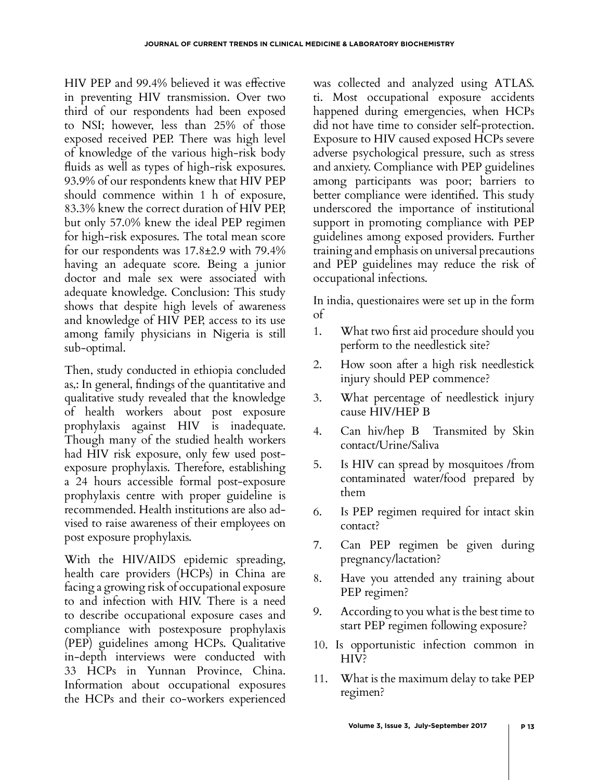HIV PEP and 99.4% believed it was effective in preventing HIV transmission. Over two third of our respondents had been exposed to NSI; however, less than 25% of those exposed received PEP. There was high level of knowledge of the various high-risk body fluids as well as types of high-risk exposures. 93.9% of our respondents knew that HIV PEP should commence within 1 h of exposure, 83.3% knew the correct duration of HIV PEP, but only 57.0% knew the ideal PEP regimen for high-risk exposures. The total mean score for our respondents was 17.8±2.9 with 79.4% having an adequate score. Being a junior doctor and male sex were associated with adequate knowledge. Conclusion: This study shows that despite high levels of awareness and knowledge of HIV PEP, access to its use among family physicians in Nigeria is still sub-optimal.

Then, study conducted in ethiopia concluded as,: In general, findings of the quantitative and qualitative study revealed that the knowledge of health workers about post exposure prophylaxis against HIV is inadequate. Though many of the studied health workers had HIV risk exposure, only few used postexposure prophylaxis. Therefore, establishing a 24 hours accessible formal post-exposure prophylaxis centre with proper guideline is recommended. Health institutions are also advised to raise awareness of their employees on post exposure prophylaxis.

With the HIV/AIDS epidemic spreading, health care providers (HCPs) in China are facing a growing risk of occupational exposure to and infection with HIV. There is a need to describe occupational exposure cases and compliance with postexposure prophylaxis (PEP) guidelines among HCPs. Qualitative in-depth interviews were conducted with 33 HCPs in Yunnan Province, China. Information about occupational exposures the HCPs and their co-workers experienced was collected and analyzed using ATLAS. ti. Most occupational exposure accidents happened during emergencies, when HCPs did not have time to consider self-protection. Exposure to HIV caused exposed HCPs severe adverse psychological pressure, such as stress and anxiety. Compliance with PEP guidelines among participants was poor; barriers to better compliance were identified. This study underscored the importance of institutional support in promoting compliance with PEP guidelines among exposed providers. Further training and emphasis on universal precautions and PEP guidelines may reduce the risk of occupational infections.

In india, questionaires were set up in the form of

- 1. What two first aid procedure should you perform to the needlestick site?
- 2. How soon after a high risk needlestick injury should PEP commence?
- 3. What percentage of needlestick injury cause HIV/HEP B
- 4. Can hiv/hep B Transmited by Skin contact/Urine/Saliva
- 5. Is HIV can spread by mosquitoes /from contaminated water/food prepared by them
- 6. Is PEP regimen required for intact skin contact?
- 7. Can PEP regimen be given during pregnancy/lactation?
- 8. Have you attended any training about PEP regimen?
- 9. According to you what is the best time to start PEP regimen following exposure?
- 10. Is opportunistic infection common in HIV?
- 11. What is the maximum delay to take PEP regimen?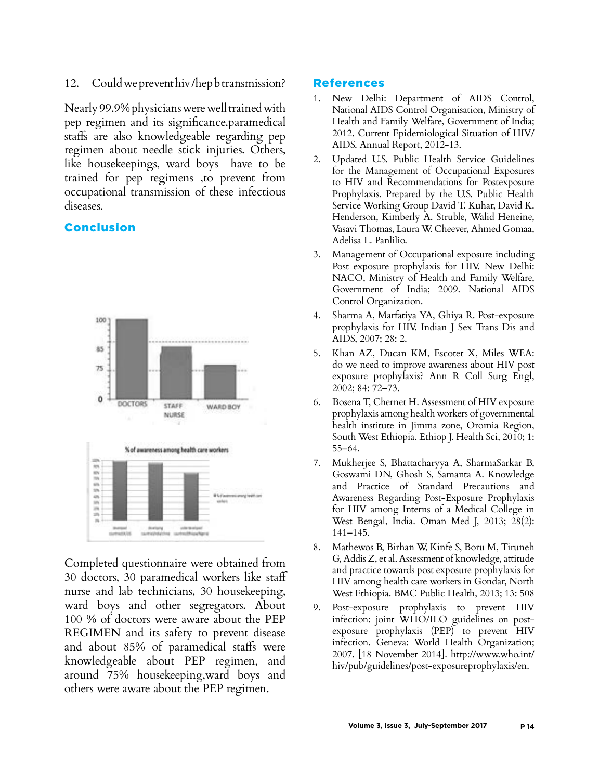#### 12. Could we prevent hiv /hep b transmission?

Nearly 99.9% physicians were well trained with pep regimen and its significance.paramedical staffs are also knowledgeable regarding pep regimen about needle stick injuries. Others, like housekeepings, ward boys have to be trained for pep regimens ,to prevent from occupational transmission of these infectious diseases.

#### Conclusion



Completed questionnaire were obtained from 30 doctors, 30 paramedical workers like staff nurse and lab technicians, 30 housekeeping, ward boys and other segregators. About 100 % of doctors were aware about the PEP REGIMEN and its safety to prevent disease and about 85% of paramedical staffs were knowledgeable about PEP regimen, and around 75% housekeeping,ward boys and others were aware about the PEP regimen.

#### References

- New Delhi: Department of AIDS Control, National AIDS Control Organisation, Ministry of Health and Family Welfare, Government of India; 2012. Current Epidemiological Situation of HIV/ AIDS. Annual Report, 2012-13.
- 2. Updated U.S. Public Health Service Guidelines for the Management of Occupational Exposures to HIV and Recommendations for Postexposure Prophylaxis. Prepared by the U.S. Public Health Service Working Group David T. Kuhar, David K. Henderson, Kimberly A. Struble, Walid Heneine, Vasavi Thomas, Laura W. Cheever, Ahmed Gomaa, Adelisa L. Panlilio.
- 3. Management of Occupational exposure including Post exposure prophylaxis for HIV. New Delhi: NACO, Ministry of Health and Family Welfare, Government of India; 2009. National AIDS Control Organization.
- 4. Sharma A, Marfatiya YA, Ghiya R. Post-exposure prophylaxis for HIV. Indian J Sex Trans Dis and AIDS, 2007; 28: 2.
- 5. Khan AZ, Ducan KM, Escotet X, Miles WEA: do we need to improve awareness about HIV post exposure prophylaxis? Ann R Coll Surg Engl, 2002; 84: 72–73.
- 6. Bosena T, Chernet H. Assessment of HIV exposure prophylaxis among health workers of governmental health institute in Jimma zone, Oromia Region, South West Ethiopia. Ethiop J. Health Sci, 2010; 1: 55–64.
- 7. Mukherjee S, Bhattacharyya A, SharmaSarkar B, Goswami DN, Ghosh S, Samanta A. Knowledge and Practice of Standard Precautions and Awareness Regarding Post-Exposure Prophylaxis for HIV among Interns of a Medical College in West Bengal, India. Oman Med J, 2013; 28(2): 141–145.
- 8. Mathewos B, Birhan W, Kinfe S, Boru M, Tiruneh G, Addis Z, et al. Assessment of knowledge, attitude and practice towards post exposure prophylaxis for HIV among health care workers in Gondar, North West Ethiopia. BMC Public Health, 2013; 13: 508
- 9. Post-exposure prophylaxis to prevent HIV infection: joint WHO/ILO guidelines on postexposure prophylaxis (PEP) to prevent HIV infection. Geneva: World Health Organization; 2007. [18 November 2014]. [http://www.who.int/](http://www.who.int/hiv) [hiv/](http://www.who.int/hiv)pub/guidelines/post-exposureprophylaxis/en.